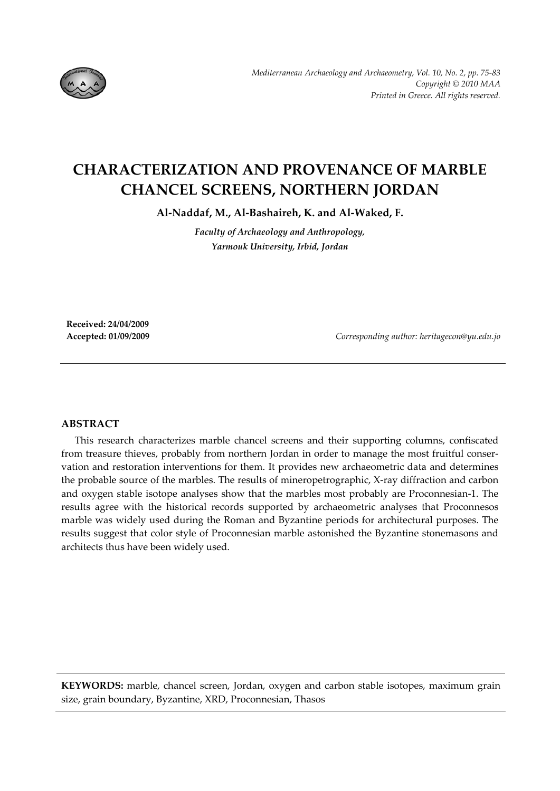

# **CHARACTERIZATION AND PROVENANCE OF MARBLE CHANCEL SCREENS, ΝORTHERN JORDAN**

**Al‐Naddaf, M., Al‐Bashaireh, K. and Al‐Waked, F.**

*Faculty of Archaeology and Anthropology, Yarmouk University, Irbid, Jordan*

**Received: 24/04/2009**

**Accepted: 01/09/2009** *Corresponding author: heritagecon@yu.edu.jo*

# **ABSTRACT**

This research characterizes marble chancel screens and their supporting columns, confiscated from treasure thieves, probably from northern Jordan in order to manage the most fruitful conservation and restoration interventions for them. It provides new archaeometric data and determines the probable source of the marbles. The results of mineropetrographic, X‐ray diffraction and carbon and oxygen stable isotope analyses show that the marbles most probably are Proconnesian‐1. The results agree with the historical records supported by archaeometric analyses that Proconnesos marble was widely used during the Roman and Byzantine periods for architectural purposes. The results suggest that color style of Proconnesian marble astonished the Byzantine stonemasons and architects thus have been widely used.

**KEYWORDS:** marble, chancel screen, Jordan, oxygen and carbon stable isotopes, maximum grain size, grain boundary, Byzantine, XRD, Proconnesian, Thasos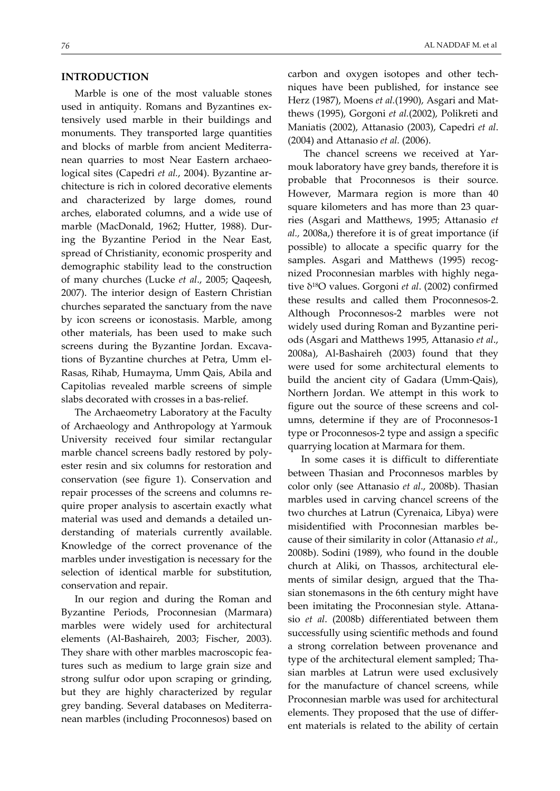### **INTRODUCTION**

Marble is one of the most valuable stones used in antiquity. Romans and Byzantines extensively used marble in their buildings and monuments. They transported large quantities and blocks of marble from ancient Mediterra‐ nean quarries to most Near Eastern archaeo‐ logical sites (Capedri *et al.*, 2004). Byzantine ar‐ chitecture is rich in colored decorative elements and characterized by large domes, round arches, elaborated columns, and a wide use of marble (MacDonald, 1962; Hutter, 1988). Dur‐ ing the Byzantine Period in the Near East, spread of Christianity, economic prosperity and demographic stability lead to the construction of many churches (Lucke *et al*., 2005; Qaqeesh, 2007). The interior design of Eastern Christian churches separated the sanctuary from the nave by icon screens or iconostasis. Marble, among other materials, has been used to make such screens during the Byzantine Jordan. Excavations of Byzantine churches at Petra, Umm el‐ Rasas, Rihab, Humayma, Umm Qais, Abila and Capitolias revealed marble screens of simple slabs decorated with crosses in a bas-relief.

The Archaeometry Laboratory at the Faculty of Archaeology and Anthropology at Yarmouk University received four similar rectangular marble chancel screens badly restored by poly‐ ester resin and six columns for restoration and conservation (see figure 1). Conservation and repair processes of the screens and columns re‐ quire proper analysis to ascertain exactly what material was used and demands a detailed un‐ derstanding of materials currently available. Knowledge of the correct provenance of the marbles under investigation is necessary for the selection of identical marble for substitution, conservation and repair.

In our region and during the Roman and Byzantine Periods, Proconnesian (Marmara) marbles were widely used for architectural elements (Al‐Bashaireh, 2003; Fischer, 2003). They share with other marbles macroscopic fea‐ tures such as medium to large grain size and strong sulfur odor upon scraping or grinding, but they are highly characterized by regular grey banding. Several databases on Mediterra‐ nean marbles (including Proconnesos) based on carbon and oxygen isotopes and other tech‐ niques have been published, for instance see Herz (1987), Moens *et al.*(1990), Asgari and Mat‐ thews (1995), Gorgoni *et al.*(2002), Polikreti and Maniatis (2002), Attanasio (2003), Capedri *et al*. (2004) and Attanasio *et al.* (2006).

The chancel screens we received at Yarmouk laboratory have grey bands, therefore it is probable that Proconnesos is their source. However, Marmara region is more than 40 square kilometers and has more than 23 quarries (Asgari and Matthews, 1995; Attanasio *et al.,* 2008a,) therefore it is of great importance (if possible) to allocate a specific quarry for the samples. Asgari and Matthews (1995) recognized Proconnesian marbles with highly nega‐ tive δ18O values. Gorgoni *et al*. (2002) confirmed these results and called them Proconnesos‐2. Although Proconnesos‐2 marbles were not widely used during Roman and Byzantine peri‐ ods (Asgari and Matthews 1995, Attanasio *et al*., 2008a), Al‐Bashaireh (2003) found that they were used for some architectural elements to build the ancient city of Gadara (Umm‐Qais), Northern Jordan. We attempt in this work to figure out the source of these screens and col‐ umns, determine if they are of Proconnesos-1 type or Proconnesos‐2 type and assign a specific quarrying location at Marmara for them.

In some cases it is difficult to differentiate between Thasian and Proconnesos marbles by color only (see Attanasio *et al*., 2008b). Thasian marbles used in carving chancel screens of the two churches at Latrun (Cyrenaica, Libya) were misidentified with Proconnesian marbles be‐ cause of their similarity in color (Attanasio *et al.,* 2008b). Sodini (1989), who found in the double church at Aliki, on Thassos, architectural ele‐ ments of similar design, argued that the Thasian stonemasons in the 6th century might have been imitating the Proconnesian style. Attana‐ sio *et al*. (2008b) differentiated between them successfully using scientific methods and found a strong correlation between provenance and type of the architectural element sampled; Tha‐ sian marbles at Latrun were used exclusively for the manufacture of chancel screens, while Proconnesian marble was used for architectural elements. They proposed that the use of differ‐ ent materials is related to the ability of certain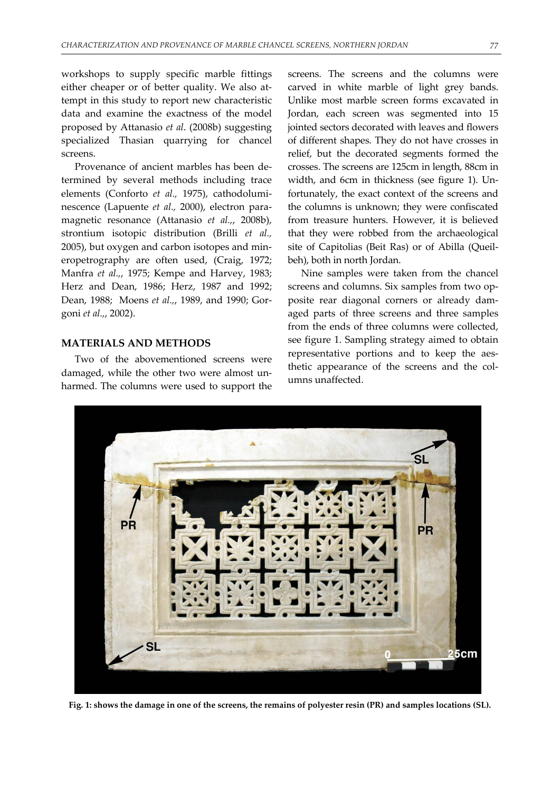workshops to supply specific marble fittings either cheaper or of better quality. We also attempt in this study to report new characteristic data and examine the exactness of the model proposed by Attanasio *et al*. (2008b) suggesting specialized Thasian quarrying for chancel screens.

Provenance of ancient marbles has been determined by several methods including trace elements (Conforto *et al.,* 1975), cathodolumi‐ nescence (Lapuente *et al.,* 2000), electron para‐ magnetic resonance (Attanasio *et al.,*, 2008b), strontium isotopic distribution (Brilli *et al.,* 2005), but oxygen and carbon isotopes and min‐ eropetrography are often used, (Craig, 1972; Manfra *et al.,*, 1975; Kempe and Harvey, 1983; Herz and Dean, 1986; Herz, 1987 and 1992; Dean, 1988; Moens *et al.,*, 1989, and 1990; Gor‐ goni *et al.,*, 2002).

### **MATERIALS AND METHODS**

Two of the abovementioned screens were damaged, while the other two were almost un‐ harmed. The columns were used to support the screens. The screens and the columns were carved in white marble of light grey bands. Unlike most marble screen forms excavated in Jordan, each screen was segmented into 15 jointed sectors decorated with leaves and flowers of different shapes. They do not have crosses in relief, but the decorated segments formed the crosses. The screens are 125cm in length, 88cm in width, and 6cm in thickness (see figure 1). Un‐ fortunately, the exact context of the screens and the columns is unknown; they were confiscated from treasure hunters. However, it is believed that they were robbed from the archaeological site of Capitolias (Beit Ras) or of Abilla (Queil‐ beh), both in north Jordan.

Nine samples were taken from the chancel screens and columns. Six samples from two opposite rear diagonal corners or already dam‐ aged parts of three screens and three samples from the ends of three columns were collected, see figure 1. Sampling strategy aimed to obtain representative portions and to keep the aesthetic appearance of the screens and the columns unaffected.



Fig. 1: shows the damage in one of the screens, the remains of polyester resin (PR) and samples locations (SL).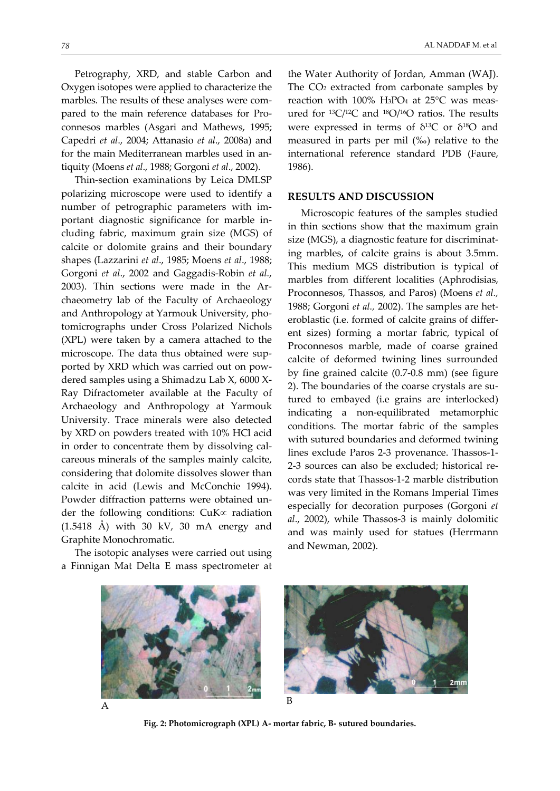Petrography, XRD, and stable Carbon and Oxygen isotopes were applied to characterize the marbles. The results of these analyses were compared to the main reference databases for Pro‐ connesos marbles (Asgari and Mathews, 1995; Capedri *et al*., 2004; Attanasio *et al*., 2008a) and for the main Mediterranean marbles used in an‐ tiquity (Moens *et al*., 1988; Gorgoni *et al*., 2002).

Thin‐section examinations by Leica DMLSP polarizing microscope were used to identify a number of petrographic parameters with im‐ portant diagnostic significance for marble in‐ cluding fabric, maximum grain size (MGS) of calcite or dolomite grains and their boundary shapes (Lazzarini *et al*., 1985; Moens *et al*., 1988; Gorgoni *et al*., 2002 and Gaggadis‐Robin *et al.*, 2003). Thin sections were made in the Ar‐ chaeometry lab of the Faculty of Archaeology and Anthropology at Yarmouk University, pho‐ tomicrographs under Cross Polarized Nichols (XPL) were taken by a camera attached to the microscope. The data thus obtained were sup‐ ported by XRD which was carried out on pow‐ dered samples using a Shimadzu Lab X, 6000 X‐ Ray Difractometer available at the Faculty of Archaeology and Anthropology at Yarmouk University. Trace minerals were also detected by XRD on powders treated with 10% HCl acid in order to concentrate them by dissolving calcareous minerals of the samples mainly calcite, considering that dolomite dissolves slower than calcite in acid (Lewis and McConchie 1994). Powder diffraction patterns were obtained un‐ der the following conditions: CuK∝ radiation (1.5418 Å) with 30 kV, 30 mA energy and Graphite Monochromatic.

The isotopic analyses were carried out using a Finnigan Mat Delta E mass spectrometer at

the Water Authority of Jordan, Amman (WAJ). The CO<sub>2</sub> extracted from carbonate samples by reaction with 100% H3PO4 at 25°C was meas‐ ured for 13C/12C and 18O/16O ratios. The results were expressed in terms of  $\delta^{13}C$  or  $\delta^{18}O$  and measured in parts per mil (‰) relative to the international reference standard PDB (Faure, 1986).

#### **RESULTS AND DISCUSSION**

Microscopic features of the samples studied in thin sections show that the maximum grain size (MGS), a diagnostic feature for discriminating marbles, of calcite grains is about 3.5mm. This medium MGS distribution is typical of marbles from different localities (Aphrodisias, Proconnesos, Thassos, and Paros) (Moens *et al.,* 1988; Gorgoni *et al.,* 2002). The samples are het‐ eroblastic (i.e. formed of calcite grains of differ‐ ent sizes) forming a mortar fabric, typical of Proconnesos marble, made of coarse grained calcite of deformed twining lines surrounded by fine grained calcite (0.7‐0.8 mm) (see figure 2). The boundaries of the coarse crystals are sutured to embayed (i.e grains are interlocked) indicating a non‐equilibrated metamorphic conditions. The mortar fabric of the samples with sutured boundaries and deformed twining lines exclude Paros 2‐3 provenance. Thassos‐1‐ 2‐3 sources can also be excluded; historical re‐ cords state that Thassos‐1‐2 marble distribution was very limited in the Romans Imperial Times especially for decoration purposes (Gorgoni *et al*., 2002), while Thassos‐3 is mainly dolomitic and was mainly used for statues (Herrmann and Newman, 2002).





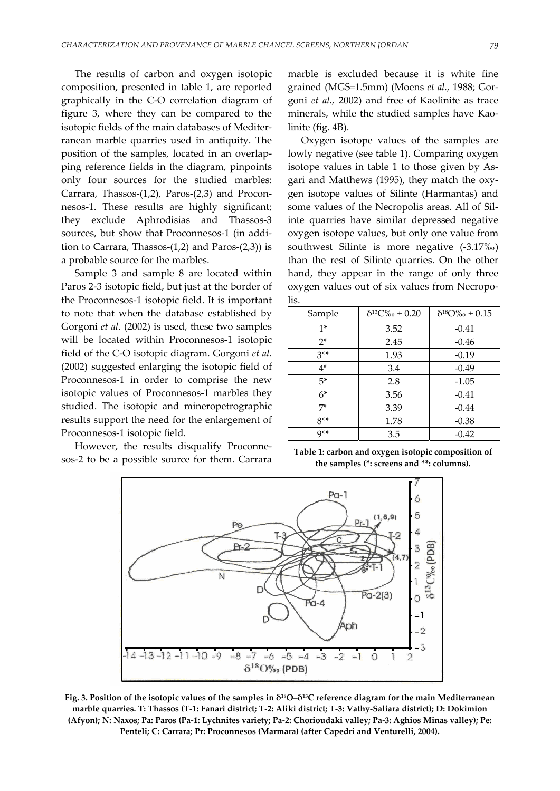The results of carbon and oxygen isotopic composition, presented in table 1, are reported graphically in the C‐O correlation diagram of figure 3, where they can be compared to the isotopic fields of the main databases of Mediter‐ ranean marble quarries used in antiquity. The position of the samples, located in an overlap‐ ping reference fields in the diagram, pinpoints only four sources for the studied marbles: Carrara, Thassos‐(1,2), Paros‐(2,3) and Procon‐ nesos‐1. These results are highly significant; they exclude Aphrodisias and Thassos‐3 sources, but show that Proconnesos-1 (in addition to Carrara, Thassos- $(1,2)$  and Paros- $(2,3)$ ) is a probable source for the marbles.

Sample 3 and sample 8 are located within Paros 2‐3 isotopic field, but just at the border of the Proconnesos‐1 isotopic field. It is important to note that when the database established by Gorgoni *et al*. (2002) is used, these two samples will be located within Proconnesos-1 isotopic field of the C‐O isotopic diagram. Gorgoni *et al*. (2002) suggested enlarging the isotopic field of Proconnesos‐1 in order to comprise the new isotopic values of Proconnesos-1 marbles they studied. The isotopic and mineropetrographic results support the need for the enlargement of Proconnesos‐1 isotopic field.

However, the results disqualify Proconne‐ sos‐2 to be a possible source for them. Carrara

marble is excluded because it is white fine grained (MGS=1.5mm) (Moens *et al.,* 1988; Gor‐ goni *et al.,* 2002) and free of Kaolinite as trace minerals, while the studied samples have Kaolinite (fig. 4B).

Oxygen isotope values of the samples are lowly negative (see table 1). Comparing oxygen isotope values in table 1 to those given by As‐ gari and Matthews (1995), they match the oxy‐ gen isotope values of Silinte (Harmantas) and some values of the Necropolis areas. All of Sil‐ inte quarries have similar depressed negative oxygen isotope values, but only one value from southwest Silinte is more negative (‐3.17‰) than the rest of Silinte quarries. On the other hand, they appear in the range of only three oxygen values out of six values from Necropo‐ lis.

| Sample | $\delta^{13}C\%$ $\pm$ 0.20 | $\delta^{18}\rm{O}\%$ $\pm$ 0.15 |
|--------|-----------------------------|----------------------------------|
| $1*$   | 3.52                        | $-0.41$                          |
| $2*$   | 2.45                        | $-0.46$                          |
| $3**$  | 1.93                        | $-0.19$                          |
| $4*$   | 3.4                         | $-0.49$                          |
| $5*$   | 2.8                         | $-1.05$                          |
| $6*$   | 3.56                        | $-0.41$                          |
| 7*     | 3.39                        | $-0.44$                          |
| $8**$  | 1.78                        | $-0.38$                          |
| $Q**$  | 3.5                         | $-0.42$                          |

| Table 1: carbon and oxygen isotopic composition of |  |
|----------------------------------------------------|--|
| the samples (*: screens and **: columns).          |  |



Fig. 3. Position of the isotopic values of the samples in  $\delta^{18}O-\delta^{13}C$  reference diagram for the main Mediterranean marble quarries. T: Thassos (T-1: Fanari district; T-2: Aliki district; T-3: Vathy-Saliara district); D: Dokimion (Afyon); N: Naxos; Pa: Paros (Pa-1: Lychnites variety; Pa-2: Chorioudaki valley; Pa-3: Aghios Minas valley); Pe: **Penteli; C: Carrara; Pr: Proconnesos (Marmara) (after Capedri and Venturelli, 2004).**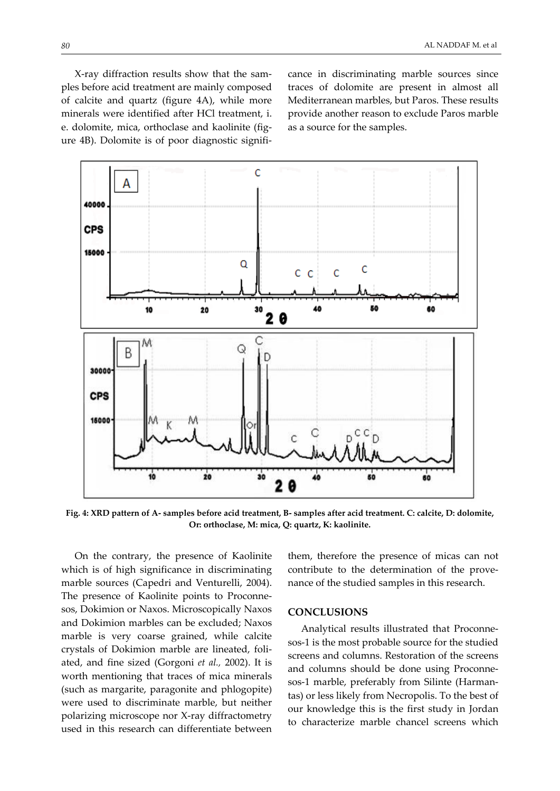X‐ray diffraction results show that the sam‐ ples before acid treatment are mainly composed of calcite and quartz (figure 4A), while more minerals were identified after HCl treatment, i. e. dolomite, mica, orthoclase and kaolinite (figure 4B). Dolomite is of poor diagnostic signifi‐ cance in discriminating marble sources since traces of dolomite are present in almost all Mediterranean marbles, but Paros. These results provide another reason to exclude Paros marble as a source for the samples.



Fig. 4: XRD pattern of A- samples before acid treatment, B- samples after acid treatment. C: calcite, D: dolomite, **Or: orthoclase, M: mica, Q: quartz, K: kaolinite.**

On the contrary, the presence of Kaolinite which is of high significance in discriminating marble sources (Capedri and Venturelli, 2004). The presence of Kaolinite points to Proconne‐ sos, Dokimion or Naxos. Microscopically Naxos and Dokimion marbles can be excluded; Naxos marble is very coarse grained, while calcite crystals of Dokimion marble are lineated, foli‐ ated, and fine sized (Gorgoni *et al.,* 2002). It is worth mentioning that traces of mica minerals (such as margarite, paragonite and phlogopite) were used to discriminate marble, but neither polarizing microscope nor X‐ray diffractometry used in this research can differentiate between

them, therefore the presence of micas can not contribute to the determination of the provenance of the studied samples in this research.

### **CONCLUSIONS**

Analytical results illustrated that Proconne‐ sos‐1 is the most probable source for the studied screens and columns. Restoration of the screens and columns should be done using Proconne‐ sos-1 marble, preferably from Silinte (Harmantas) or less likely from Necropolis. To the best of our knowledge this is the first study in Jordan to characterize marble chancel screens which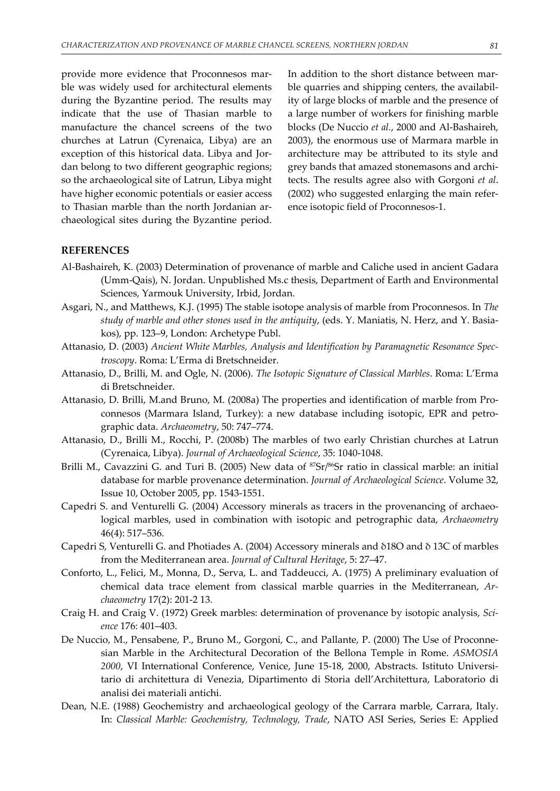provide more evidence that Proconnesos marble was widely used for architectural elements during the Byzantine period. The results may indicate that the use of Thasian marble to manufacture the chancel screens of the two churches at Latrun (Cyrenaica, Libya) are an exception of this historical data. Libya and Jordan belong to two different geographic regions; so the archaeological site of Latrun, Libya might have higher economic potentials or easier access to Thasian marble than the north Jordanian ar‐ chaeological sites during the Byzantine period.

In addition to the short distance between mar‐ ble quarries and shipping centers, the availabil‐ ity of large blocks of marble and the presence of a large number of workers for finishing marble blocks (De Nuccio *et al.*, 2000 and Al‐Bashaireh, 2003), the enormous use of Marmara marble in architecture may be attributed to its style and grey bands that amazed stonemasons and archi‐ tects. The results agree also with Gorgoni *et al*. (2002) who suggested enlarging the main refer‐ ence isotopic field of Proconnesos‐1.

## **REFERENCES**

- Al‐Bashaireh, K. (2003) Determination of provenance of marble and Caliche used in ancient Gadara (Umm‐Qais), N. Jordan. Unpublished Ms.c thesis, Department of Earth and Environmental Sciences, Yarmouk University, Irbid, Jordan.
- Asgari, N., and Matthews, K.J. (1995) The stable isotope analysis of marble from Proconnesos. In *The study of marble and other stones used in the antiquity*, (eds. Y. Maniatis, N. Herz, and Y. Basia‐ kos), pp. 123–9, London: Archetype Publ.
- Attanasio, D. (2003) *Ancient White Marbles, Analysis and Identification by Paramagnetic Resonance Spec‐ troscopy*. Roma: L'Erma di Bretschneider.
- Attanasio, D., Brilli, M. and Ogle, N. (2006). *The Isotopic Signature of Classical Marbles*. Roma: L'Erma di Bretschneider.
- Attanasio, D. Brilli, M.and Bruno, M. (2008a) The properties and identification of marble from Pro‐ connesos (Marmara Island, Turkey): a new database including isotopic, EPR and petro‐ graphic data. *Archaeometry*, 50: 747–774.
- Attanasio, D., Brilli M., Rocchi, P. (2008b) The marbles of two early Christian churches at Latrun (Cyrenaica, Libya). *Journal of Archaeological Science*, 35: 1040‐1048.
- Brilli M., Cavazzini G. and Turi B. (2005) New data of <sup>87</sup>Sr/<sup>86</sup>Sr ratio in classical marble: an initial database for marble provenance determination. *Journal of Archaeological Science*. Volume 32, Issue 10, October 2005, pp. 1543‐1551.
- Capedri S. and Venturelli G. (2004) Accessory minerals as tracers in the provenancing of archaeo‐ logical marbles, used in combination with isotopic and petrographic data, *Archaeometry* 46(4): 517–536.
- Capedri S, Venturelli G. and Photiades A. (2004) Accessory minerals and δ18O and δ 13C of marbles from the Mediterranean area. *Journal of Cultural Heritage*, 5: 27–47.
- Conforto, L., Felici, M., Monna, D., Serva, L. and Taddeucci, A. (1975) A preliminary evaluation of chemical data trace element from classical marble quarries in the Mediterranean, *Ar‐ chaeometry* 17(2): 201‐2 13.
- Craig H. and Craig V. (1972) Greek marbles: determination of provenance by isotopic analysis, *Sci‐ ence* 176: 401–403.
- De Nuccio, M., Pensabene, P., Bruno M., Gorgoni, C., and Pallante, P. (2000) The Use of Proconne‐ sian Marble in the Architectural Decoration of the Bellona Temple in Rome. *ASMOSIA 2000*, VI International Conference, Venice, June 15‐18, 2000, Abstracts. Istituto Universi‐ tario di architettura di Venezia, Dipartimento di Storia dell'Architettura, Laboratorio di analisi dei materiali antichi.
- Dean, N.E. (1988) Geochemistry and archaeological geology of the Carrara marble, Carrara, Italy. In: *Classical Marble: Geochemistry, Technology, Trade*, NATO ASI Series, Series E: Applied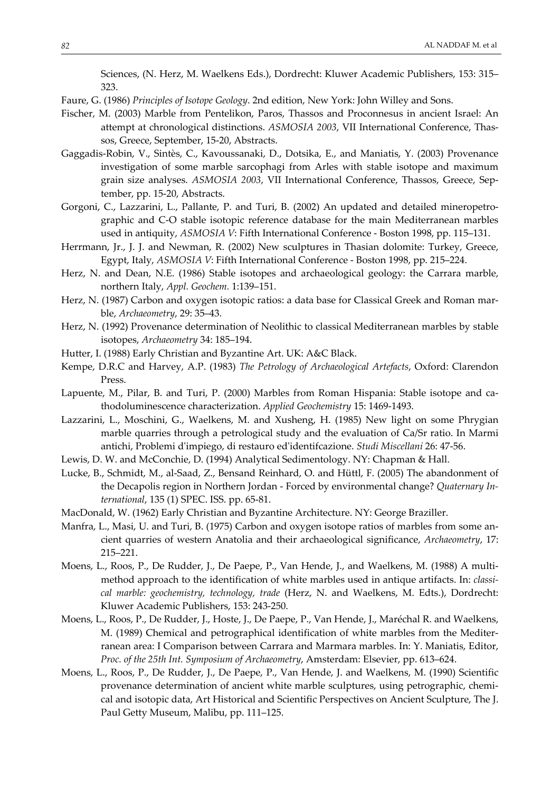Sciences, (N. Herz, M. Waelkens Eds.), Dordrecht: Kluwer Academic Publishers, 153: 315– 323.

Faure, G. (1986) *Principles of Isotope Geology*. 2nd edition, New York: John Willey and Sons.

- Fischer, M. (2003) Marble from Pentelikon, Paros, Thassos and Proconnesus in ancient Israel: An attempt at chronological distinctions. *ASMOSIA 2003*, VII International Conference, Thas‐ sos, Greece, September, 15‐20, Abstracts.
- Gaggadis‐Robin, V., Sintès, C., Kavoussanaki, D., Dotsika, E., and Maniatis, Y. (2003) Provenance investigation of some marble sarcophagi from Arles with stable isotope and maximum grain size analyses. *ASMOSIA 2003*, VII International Conference, Thassos, Greece, September, pp. 15‐20, Abstracts.
- Gorgoni, C., Lazzarini, L., Pallante, P. and Turi, B. (2002) An updated and detailed mineropetrographic and C‐O stable isotopic reference database for the main Mediterranean marbles used in antiquity, *ASMOSIA V*: Fifth International Conference ‐ Boston 1998, pp. 115–131.
- Herrmann, Jr., J. J. and Newman, R. (2002) New sculptures in Thasian dolomite: Turkey, Greece, Egypt, Italy, *ASMOSIA V*: Fifth International Conference ‐ Boston 1998, pp. 215–224.
- Herz, N. and Dean, N.E. (1986) Stable isotopes and archaeological geology: the Carrara marble, northern Italy, *Appl. Geochem.* 1:139–151.
- Herz, N. (1987) Carbon and oxygen isotopic ratios: a data base for Classical Greek and Roman marble, *Archaeometry*, 29: 35–43.
- Herz, N. (1992) Provenance determination of Neolithic to classical Mediterranean marbles by stable isotopes, *Archaeometry* 34: 185–194.
- Hutter, I. (1988) Early Christian and Byzantine Art. UK: A&C Black.
- Kempe, D.R.C and Harvey, A.P. (1983) *The Petrology of Archaeological Artefacts*, Oxford: Clarendon Press.
- Lapuente, M., Pilar, B. and Turi, P. (2000) Marbles from Roman Hispania: Stable isotope and ca‐ thodoluminescence characterization. *Applied Geochemistry* 15: 1469‐1493.
- Lazzarini, L., Moschini, G., Waelkens, M. and Xusheng, H. (1985) New light on some Phrygian marble quarries through a petrological study and the evaluation of Ca/Sr ratio. In Marmi antichi, Problemi dʹimpiego, di restauro edʹidentifcazione. *Studi Miscellani* 26: 47‐56.
- Lewis, D. W. and McConchie, D. (1994) Analytical Sedimentology. NY: Chapman & Hall.
- Lucke, B., Schmidt, M., al‐Saad, Z., Bensand Reinhard, O. and Hüttl, F. (2005) The abandonment of the Decapolis region in Northern Jordan ‐ Forced by environmental change? *Quaternary In‐ ternational*, 135 (1) SPEC. ISS. pp. 65‐81.
- MacDonald, W. (1962) Early Christian and Byzantine Architecture. NY: George Braziller.
- Manfra, L., Masi, U. and Turi, B. (1975) Carbon and oxygen isotope ratios of marbles from some an‐ cient quarries of western Anatolia and their archaeological significance, *Archaeometry*, 17: 215–221.
- Moens, L., Roos, P., De Rudder, J., De Paepe, P., Van Hende, J., and Waelkens, M. (1988) A multi‐ method approach to the identification of white marbles used in antique artifacts. In: *classi‐ cal marble: geochemistry, technology, trade* (Herz, N. and Waelkens, M. Edts.), Dordrecht: Kluwer Academic Publishers, 153: 243‐250.
- Moens, L., Roos, P., De Rudder, J., Hoste, J., De Paepe, P., Van Hende, J., Maréchal R. and Waelkens, M. (1989) Chemical and petrographical identification of white marbles from the Mediter‐ ranean area: I Comparison between Carrara and Marmara marbles. In: Y. Maniatis, Editor, *Proc. of the 25th Int. Symposium of Archaeometry*, Amsterdam: Elsevier, pp. 613–624.
- Moens, L., Roos, P., De Rudder, J., De Paepe, P., Van Hende, J. and Waelkens, M. (1990) Scientific provenance determination of ancient white marble sculptures, using petrographic, chemical and isotopic data, Art Historical and Scientific Perspectives on Ancient Sculpture, The J. Paul Getty Museum, Malibu, pp. 111–125.